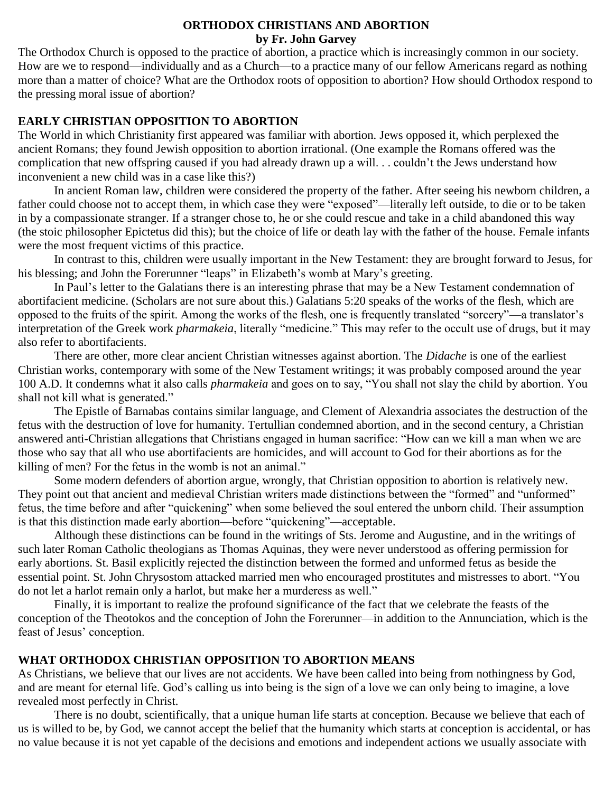### **ORTHODOX CHRISTIANS AND ABORTION by Fr. John Garvey**

The Orthodox Church is opposed to the practice of abortion, a practice which is increasingly common in our society. How are we to respond—individually and as a Church—to a practice many of our fellow Americans regard as nothing more than a matter of choice? What are the Orthodox roots of opposition to abortion? How should Orthodox respond to the pressing moral issue of abortion?

# **EARLY CHRISTIAN OPPOSITION TO ABORTION**

The World in which Christianity first appeared was familiar with abortion. Jews opposed it, which perplexed the ancient Romans; they found Jewish opposition to abortion irrational. (One example the Romans offered was the complication that new offspring caused if you had already drawn up a will. . . couldn't the Jews understand how inconvenient a new child was in a case like this?)

In ancient Roman law, children were considered the property of the father. After seeing his newborn children, a father could choose not to accept them, in which case they were "exposed"—literally left outside, to die or to be taken in by a compassionate stranger. If a stranger chose to, he or she could rescue and take in a child abandoned this way (the stoic philosopher Epictetus did this); but the choice of life or death lay with the father of the house. Female infants were the most frequent victims of this practice.

In contrast to this, children were usually important in the New Testament: they are brought forward to Jesus, for his blessing; and John the Forerunner "leaps" in Elizabeth's womb at Mary's greeting.

In Paul's letter to the Galatians there is an interesting phrase that may be a New Testament condemnation of abortifacient medicine. (Scholars are not sure about this.) Galatians 5:20 speaks of the works of the flesh, which are opposed to the fruits of the spirit. Among the works of the flesh, one is frequently translated "sorcery"—a translator's interpretation of the Greek work *pharmakeia*, literally "medicine." This may refer to the occult use of drugs, but it may also refer to abortifacients.

There are other, more clear ancient Christian witnesses against abortion. The *Didache* is one of the earliest Christian works, contemporary with some of the New Testament writings; it was probably composed around the year 100 A.D. It condemns what it also calls *pharmakeia* and goes on to say, "You shall not slay the child by abortion. You shall not kill what is generated."

The Epistle of Barnabas contains similar language, and Clement of Alexandria associates the destruction of the fetus with the destruction of love for humanity. Tertullian condemned abortion, and in the second century, a Christian answered anti-Christian allegations that Christians engaged in human sacrifice: "How can we kill a man when we are those who say that all who use abortifacients are homicides, and will account to God for their abortions as for the killing of men? For the fetus in the womb is not an animal."

Some modern defenders of abortion argue, wrongly, that Christian opposition to abortion is relatively new. They point out that ancient and medieval Christian writers made distinctions between the "formed" and "unformed" fetus, the time before and after "quickening" when some believed the soul entered the unborn child. Their assumption is that this distinction made early abortion—before "quickening"—acceptable.

Although these distinctions can be found in the writings of Sts. Jerome and Augustine, and in the writings of such later Roman Catholic theologians as Thomas Aquinas, they were never understood as offering permission for early abortions. St. Basil explicitly rejected the distinction between the formed and unformed fetus as beside the essential point. St. John Chrysostom attacked married men who encouraged prostitutes and mistresses to abort. "You do not let a harlot remain only a harlot, but make her a murderess as well."

Finally, it is important to realize the profound significance of the fact that we celebrate the feasts of the conception of the Theotokos and the conception of John the Forerunner—in addition to the Annunciation, which is the feast of Jesus' conception.

# **WHAT ORTHODOX CHRISTIAN OPPOSITION TO ABORTION MEANS**

As Christians, we believe that our lives are not accidents. We have been called into being from nothingness by God, and are meant for eternal life. God's calling us into being is the sign of a love we can only being to imagine, a love revealed most perfectly in Christ.

There is no doubt, scientifically, that a unique human life starts at conception. Because we believe that each of us is willed to be, by God, we cannot accept the belief that the humanity which starts at conception is accidental, or has no value because it is not yet capable of the decisions and emotions and independent actions we usually associate with